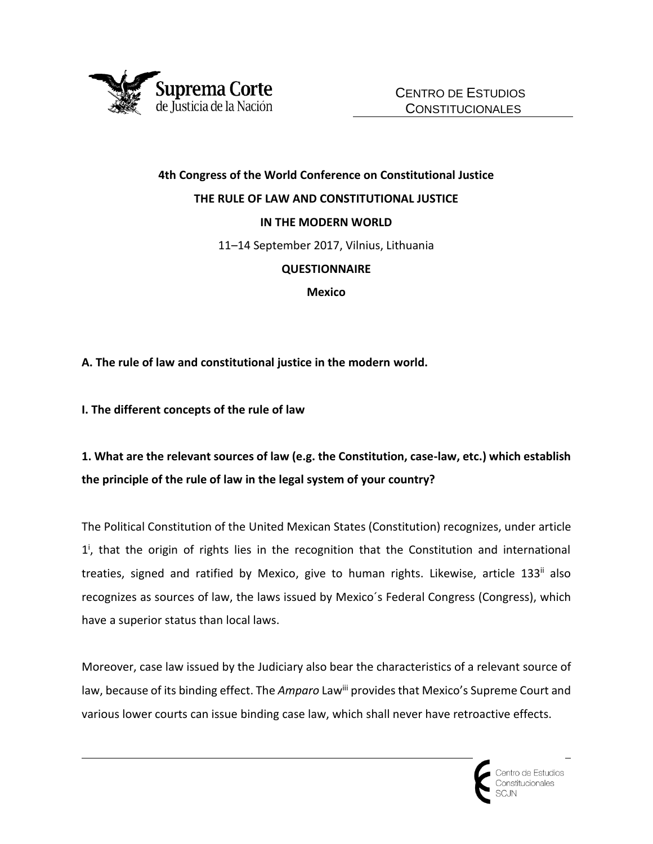

# **4th Congress of the World Conference on Constitutional Justice THE RULE OF LAW AND CONSTITUTIONAL JUSTICE IN THE MODERN WORLD** 11–14 September 2017, Vilnius, Lithuania **QUESTIONNAIRE**

**Mexico**

#### **A. The rule of law and constitutional justice in the modern world.**

**I. The different concepts of the rule of law**

**1. What are the relevant sources of law (e.g. the Constitution, case-law, etc.) which establish the principle of the rule of law in the legal system of your country?**

The Political Constitution of the United Mexican States (Constitution) recognizes, under article 1<sup>i</sup>, that the origin of rights lies in the recognition that the Constitution and international treaties, signed and ratified by Mexico, give to human rights. Likewise, article 133<sup>ii</sup> also recognizes as sources of law, the laws issued by Mexico´s Federal Congress (Congress), which have a superior status than local laws.

Moreover, case law issued by the Judiciary also bear the characteristics of a relevant source of law, because of its binding effect. The *Amparo* Law<sup>iii</sup> provides that Mexico's Supreme Court and various lower courts can issue binding case law, which shall never have retroactive effects.

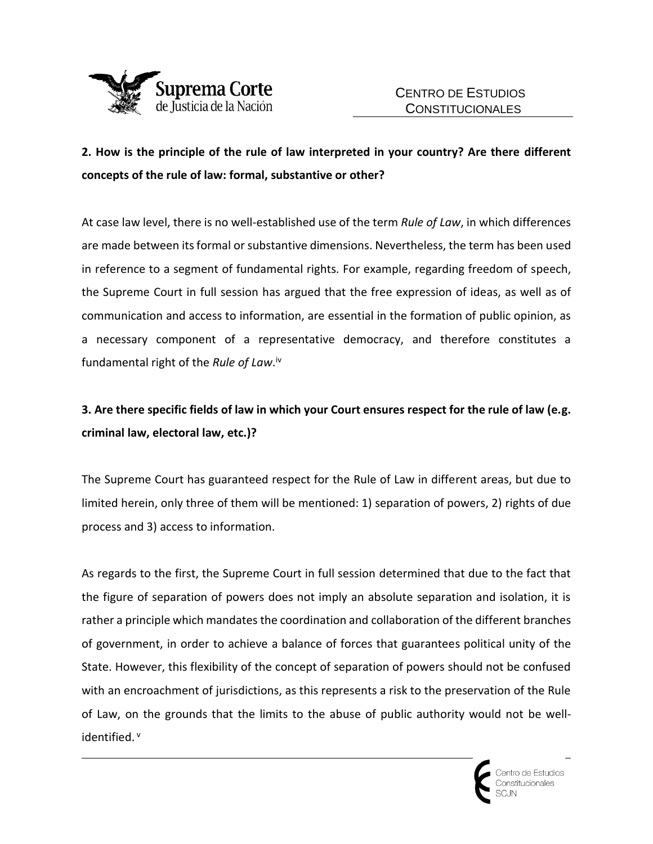

## **2. How is the principle of the rule of law interpreted in your country? Are there different concepts of the rule of law: formal, substantive or other?**

At case law level, there is no well-established use of the term *Rule of Law*, in which differences are made between its formal or substantive dimensions. Nevertheless, the term has been used in reference to a segment of fundamental rights. For example, regarding freedom of speech, the Supreme Court in full session has argued that the free expression of ideas, as well as of communication and access to information, are essential in the formation of public opinion, as a necessary component of a representative democracy, and therefore constitutes a fundamental right of the *Rule of Law*.<sup>iv</sup>

## **3. Are there specific fields of law in which your Court ensures respect for the rule of law (e.g. criminal law, electoral law, etc.)?**

The Supreme Court has guaranteed respect for the Rule of Law in different areas, but due to limited herein, only three of them will be mentioned: 1) separation of powers, 2) rights of due process and 3) access to information.

As regards to the first, the Supreme Court in full session determined that due to the fact that the figure of separation of powers does not imply an absolute separation and isolation, it is rather a principle which mandates the coordination and collaboration of the different branches of government, in order to achieve a balance of forces that guarantees political unity of the State. However, this flexibility of the concept of separation of powers should not be confused with an encroachment of jurisdictions, as this represents a risk to the preservation of the Rule of Law, on the grounds that the limits to the abuse of public authority would not be wellidentified. v

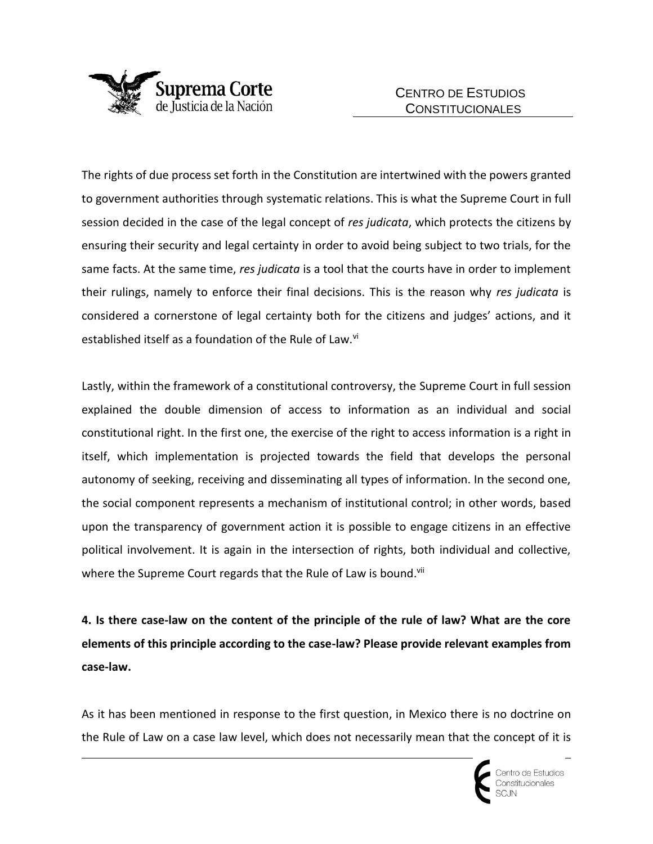

The rights of due process set forth in the Constitution are intertwined with the powers granted to government authorities through systematic relations. This is what the Supreme Court in full session decided in the case of the legal concept of *res judicata*, which protects the citizens by ensuring their security and legal certainty in order to avoid being subject to two trials, for the same facts. At the same time, *res judicata* is a tool that the courts have in order to implement their rulings, namely to enforce their final decisions. This is the reason why *res judicata* is considered a cornerstone of legal certainty both for the citizens and judges' actions, and it established itself as a foundation of the Rule of Law.<sup>vi</sup>

Lastly, within the framework of a constitutional controversy, the Supreme Court in full session explained the double dimension of access to information as an individual and social constitutional right. In the first one, the exercise of the right to access information is a right in itself, which implementation is projected towards the field that develops the personal autonomy of seeking, receiving and disseminating all types of information. In the second one, the social component represents a mechanism of institutional control; in other words, based upon the transparency of government action it is possible to engage citizens in an effective political involvement. It is again in the intersection of rights, both individual and collective, where the Supreme Court regards that the Rule of Law is bound.<sup>vii</sup>

**4. Is there case-law on the content of the principle of the rule of law? What are the core elements of this principle according to the case-law? Please provide relevant examples from case-law.**

As it has been mentioned in response to the first question, in Mexico there is no doctrine on the Rule of Law on a case law level, which does not necessarily mean that the concept of it is

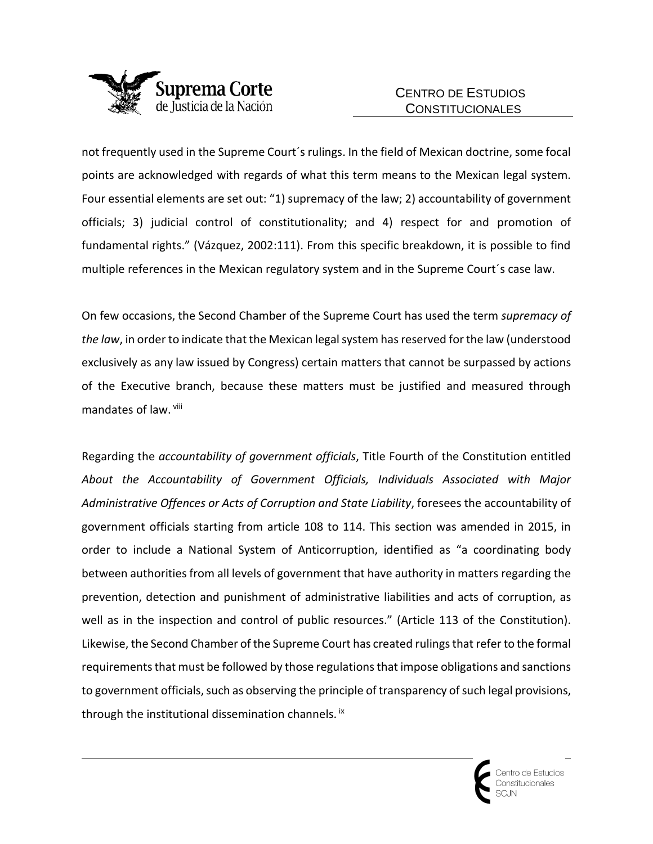

not frequently used in the Supreme Court´s rulings. In the field of Mexican doctrine, some focal points are acknowledged with regards of what this term means to the Mexican legal system. Four essential elements are set out: "1) supremacy of the law; 2) accountability of government officials; 3) judicial control of constitutionality; and 4) respect for and promotion of fundamental rights." (Vázquez, 2002:111). From this specific breakdown, it is possible to find multiple references in the Mexican regulatory system and in the Supreme Court´s case law.

On few occasions, the Second Chamber of the Supreme Court has used the term *supremacy of the law*, in order to indicate that the Mexican legal system has reserved for the law (understood exclusively as any law issued by Congress) certain matters that cannot be surpassed by actions of the Executive branch, because these matters must be justified and measured through mandates of law. <sup>viii</sup>

Regarding the *accountability of government officials*, Title Fourth of the Constitution entitled *About the Accountability of Government Officials, Individuals Associated with Major Administrative Offences or Acts of Corruption and State Liability*, foresees the accountability of government officials starting from article 108 to 114. This section was amended in 2015, in order to include a National System of Anticorruption, identified as "a coordinating body between authorities from all levels of government that have authority in matters regarding the prevention, detection and punishment of administrative liabilities and acts of corruption, as well as in the inspection and control of public resources." (Article 113 of the Constitution). Likewise, the Second Chamber of the Supreme Court has created rulings that refer to the formal requirements that must be followed by those regulations that impose obligations and sanctions to government officials, such as observing the principle of transparency of such legal provisions, through the institutional dissemination channels.  $\frac{1}{x}$ 

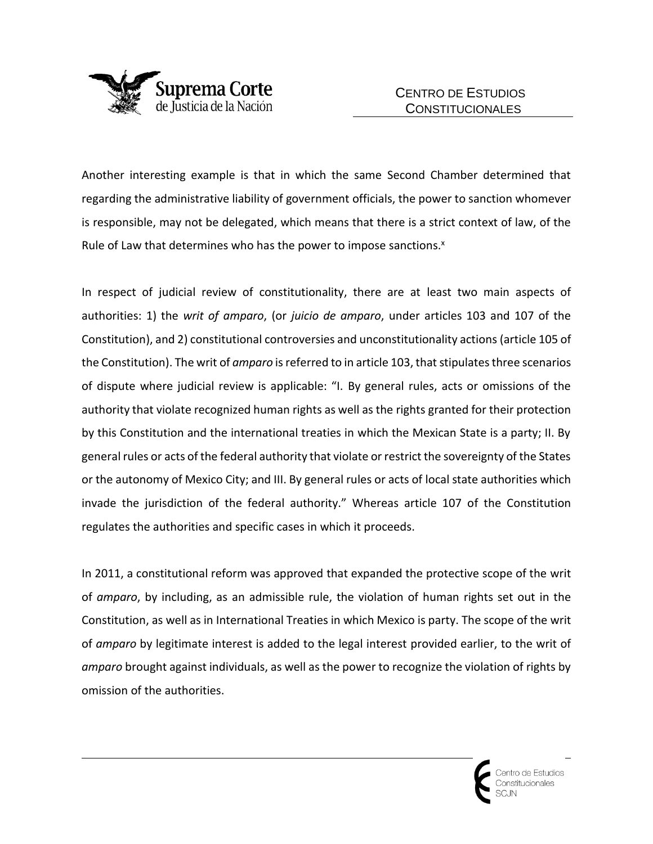

Another interesting example is that in which the same Second Chamber determined that regarding the administrative liability of government officials, the power to sanction whomever is responsible, may not be delegated, which means that there is a strict context of law, of the Rule of Law that determines who has the power to impose sanctions. $x$ 

In respect of judicial review of constitutionality, there are at least two main aspects of authorities: 1) the *writ of amparo*, (or *juicio de amparo*, under articles 103 and 107 of the Constitution), and 2) constitutional controversies and unconstitutionality actions (article 105 of the Constitution). The writ of *amparo* is referred to in article 103, that stipulates three scenarios of dispute where judicial review is applicable: "I. By general rules, acts or omissions of the authority that violate recognized human rights as well as the rights granted for their protection by this Constitution and the international treaties in which the Mexican State is a party; II. By general rules or acts of the federal authority that violate or restrict the sovereignty of the States or the autonomy of Mexico City; and III. By general rules or acts of local state authorities which invade the jurisdiction of the federal authority." Whereas article 107 of the Constitution regulates the authorities and specific cases in which it proceeds.

In 2011, a constitutional reform was approved that expanded the protective scope of the writ of *amparo*, by including, as an admissible rule, the violation of human rights set out in the Constitution, as well as in International Treaties in which Mexico is party. The scope of the writ of *amparo* by legitimate interest is added to the legal interest provided earlier, to the writ of *amparo* brought against individuals, as well as the power to recognize the violation of rights by omission of the authorities.

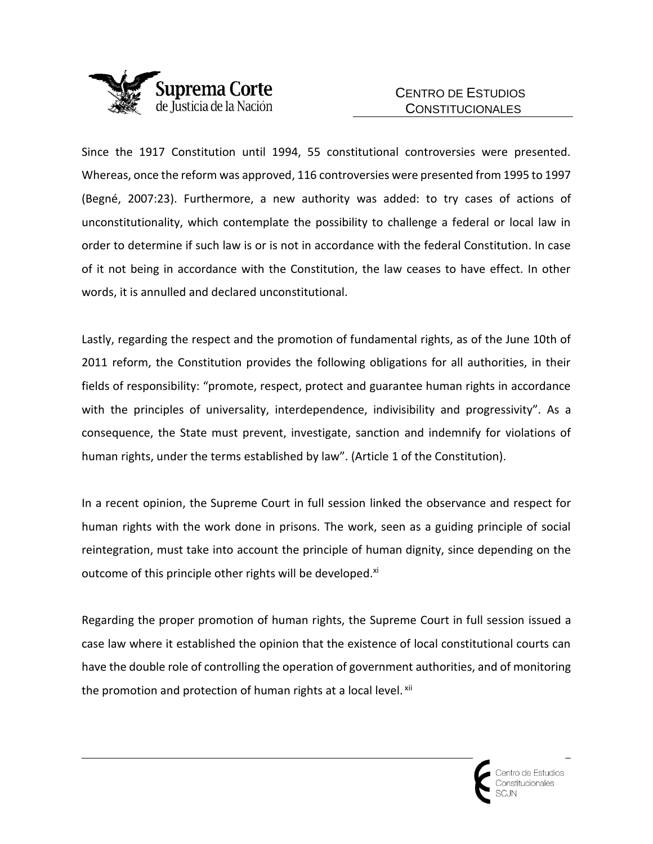

Since the 1917 Constitution until 1994, 55 constitutional controversies were presented. Whereas, once the reform was approved, 116 controversies were presented from 1995 to 1997 (Begné, 2007:23). Furthermore, a new authority was added: to try cases of actions of unconstitutionality, which contemplate the possibility to challenge a federal or local law in order to determine if such law is or is not in accordance with the federal Constitution. In case of it not being in accordance with the Constitution, the law ceases to have effect. In other words, it is annulled and declared unconstitutional.

Lastly, regarding the respect and the promotion of fundamental rights, as of the June 10th of 2011 reform, the Constitution provides the following obligations for all authorities, in their fields of responsibility: "promote, respect, protect and guarantee human rights in accordance with the principles of universality, interdependence, indivisibility and progressivity". As a consequence, the State must prevent, investigate, sanction and indemnify for violations of human rights, under the terms established by law". (Article 1 of the Constitution).

In a recent opinion, the Supreme Court in full session linked the observance and respect for human rights with the work done in prisons. The work, seen as a guiding principle of social reintegration, must take into account the principle of human dignity, since depending on the outcome of this principle other rights will be developed.<sup>xi</sup>

Regarding the proper promotion of human rights, the Supreme Court in full session issued a case law where it established the opinion that the existence of local constitutional courts can have the double role of controlling the operation of government authorities, and of monitoring the promotion and protection of human rights at a local level. xii

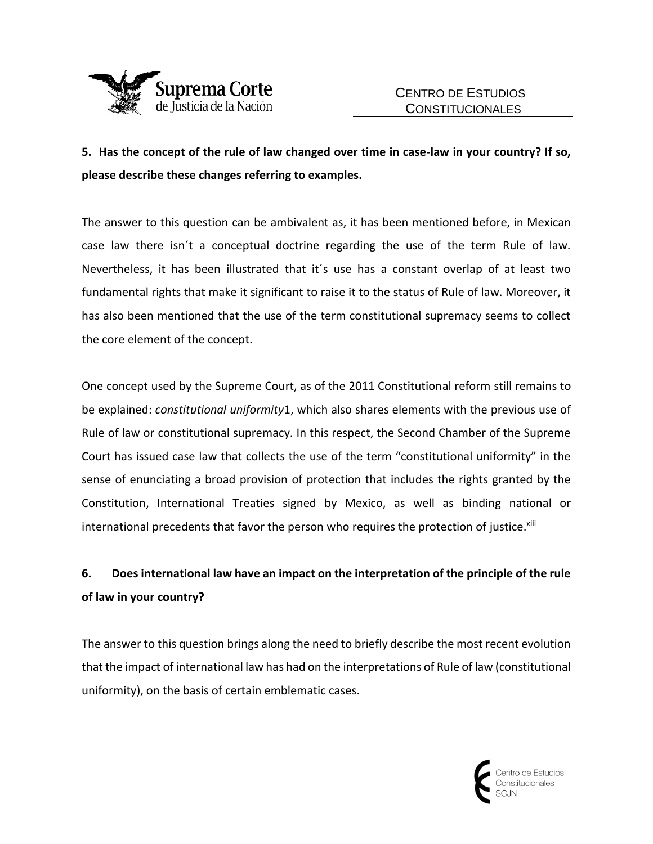

**5. Has the concept of the rule of law changed over time in case-law in your country? If so, please describe these changes referring to examples.**

The answer to this question can be ambivalent as, it has been mentioned before, in Mexican case law there isn´t a conceptual doctrine regarding the use of the term Rule of law. Nevertheless, it has been illustrated that it´s use has a constant overlap of at least two fundamental rights that make it significant to raise it to the status of Rule of law. Moreover, it has also been mentioned that the use of the term constitutional supremacy seems to collect the core element of the concept.

One concept used by the Supreme Court, as of the 2011 Constitutional reform still remains to be explained: *constitutional uniformity*1, which also shares elements with the previous use of Rule of law or constitutional supremacy. In this respect, the Second Chamber of the Supreme Court has issued case law that collects the use of the term "constitutional uniformity" in the sense of enunciating a broad provision of protection that includes the rights granted by the Constitution, International Treaties signed by Mexico, as well as binding national or international precedents that favor the person who requires the protection of justice.<sup>xiii</sup>

## **6. Does international law have an impact on the interpretation of the principle of the rule of law in your country?**

The answer to this question brings along the need to briefly describe the most recent evolution that the impact of international law has had on the interpretations of Rule of law (constitutional uniformity), on the basis of certain emblematic cases.

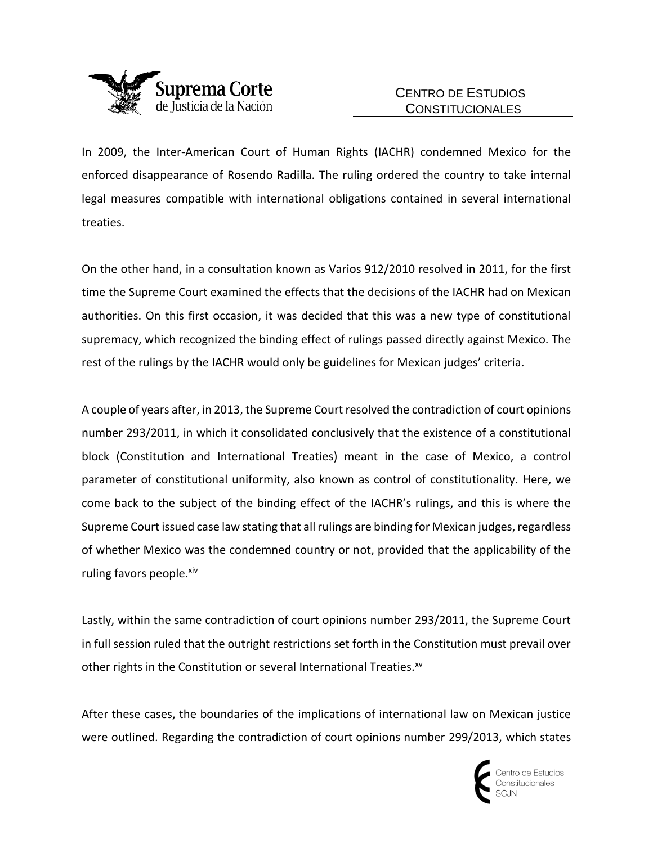

In 2009, the Inter-American Court of Human Rights (IACHR) condemned Mexico for the enforced disappearance of Rosendo Radilla. The ruling ordered the country to take internal legal measures compatible with international obligations contained in several international treaties.

On the other hand, in a consultation known as Varios 912/2010 resolved in 2011, for the first time the Supreme Court examined the effects that the decisions of the IACHR had on Mexican authorities. On this first occasion, it was decided that this was a new type of constitutional supremacy, which recognized the binding effect of rulings passed directly against Mexico. The rest of the rulings by the IACHR would only be guidelines for Mexican judges' criteria.

A couple of years after, in 2013, the Supreme Court resolved the contradiction of court opinions number 293/2011, in which it consolidated conclusively that the existence of a constitutional block (Constitution and International Treaties) meant in the case of Mexico, a control parameter of constitutional uniformity, also known as control of constitutionality. Here, we come back to the subject of the binding effect of the IACHR's rulings, and this is where the Supreme Court issued case law stating that all rulings are binding for Mexican judges, regardless of whether Mexico was the condemned country or not, provided that the applicability of the ruling favors people.<sup>xiv</sup>

Lastly, within the same contradiction of court opinions number 293/2011, the Supreme Court in full session ruled that the outright restrictions set forth in the Constitution must prevail over other rights in the Constitution or several International Treaties.<sup>xv</sup>

After these cases, the boundaries of the implications of international law on Mexican justice were outlined. Regarding the contradiction of court opinions number 299/2013, which states

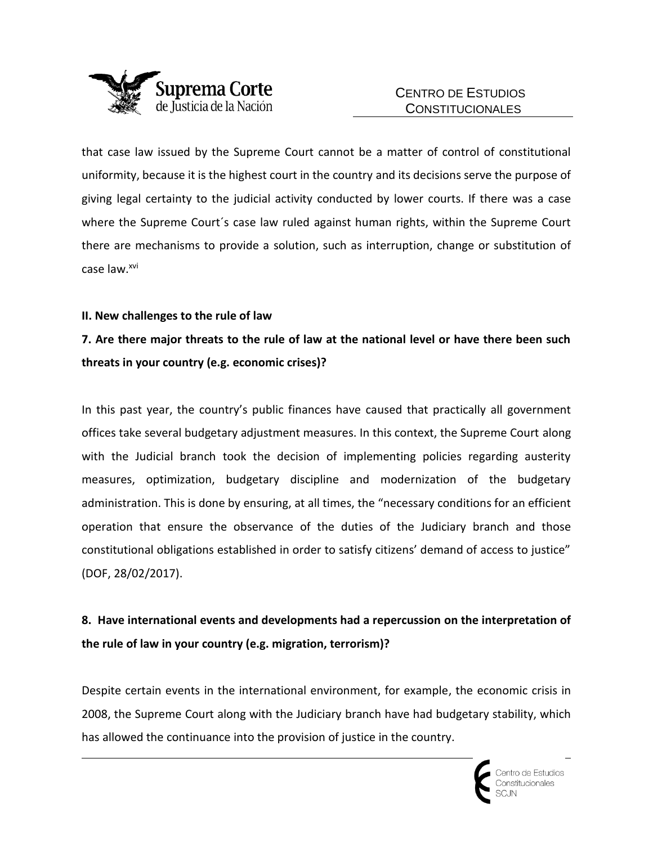

that case law issued by the Supreme Court cannot be a matter of control of constitutional uniformity, because it is the highest court in the country and its decisions serve the purpose of giving legal certainty to the judicial activity conducted by lower courts. If there was a case where the Supreme Court´s case law ruled against human rights, within the Supreme Court there are mechanisms to provide a solution, such as interruption, change or substitution of case law.xvi

#### **II. New challenges to the rule of law**

## **7. Are there major threats to the rule of law at the national level or have there been such threats in your country (e.g. economic crises)?**

In this past year, the country's public finances have caused that practically all government offices take several budgetary adjustment measures. In this context, the Supreme Court along with the Judicial branch took the decision of implementing policies regarding austerity measures, optimization, budgetary discipline and modernization of the budgetary administration. This is done by ensuring, at all times, the "necessary conditions for an efficient operation that ensure the observance of the duties of the Judiciary branch and those constitutional obligations established in order to satisfy citizens' demand of access to justice" (DOF, 28/02/2017).

## **8. Have international events and developments had a repercussion on the interpretation of the rule of law in your country (e.g. migration, terrorism)?**

Despite certain events in the international environment, for example, the economic crisis in 2008, the Supreme Court along with the Judiciary branch have had budgetary stability, which has allowed the continuance into the provision of justice in the country.

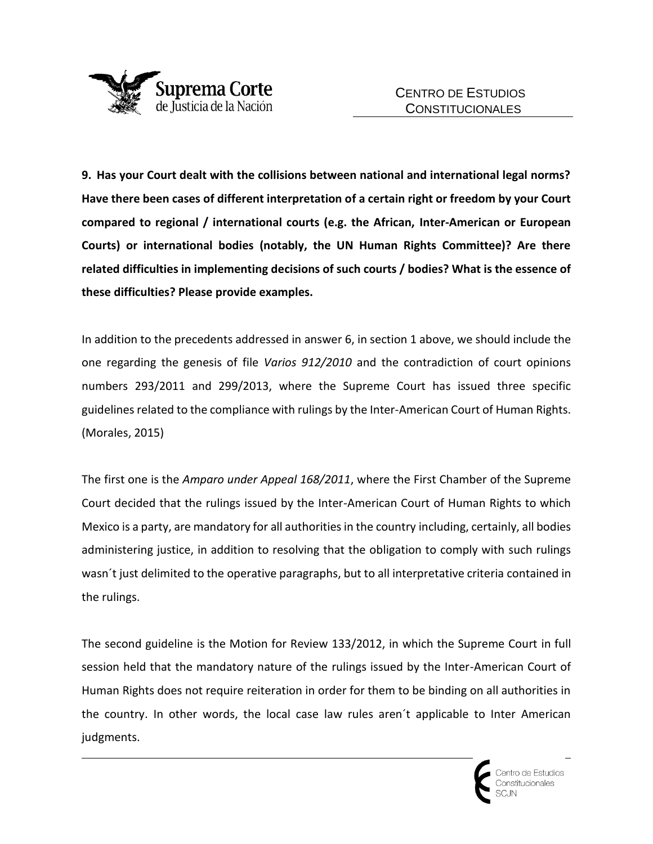

**9. Has your Court dealt with the collisions between national and international legal norms? Have there been cases of different interpretation of a certain right or freedom by your Court compared to regional / international courts (e.g. the African, Inter-American or European Courts) or international bodies (notably, the UN Human Rights Committee)? Are there related difficulties in implementing decisions of such courts / bodies? What is the essence of these difficulties? Please provide examples.**

In addition to the precedents addressed in answer 6, in section 1 above, we should include the one regarding the genesis of file *Varios 912/2010* and the contradiction of court opinions numbers 293/2011 and 299/2013, where the Supreme Court has issued three specific guidelines related to the compliance with rulings by the Inter-American Court of Human Rights. (Morales, 2015)

The first one is the *Amparo under Appeal 168/2011*, where the First Chamber of the Supreme Court decided that the rulings issued by the Inter-American Court of Human Rights to which Mexico is a party, are mandatory for all authorities in the country including, certainly, all bodies administering justice, in addition to resolving that the obligation to comply with such rulings wasn´t just delimited to the operative paragraphs, but to all interpretative criteria contained in the rulings.

The second guideline is the Motion for Review 133/2012, in which the Supreme Court in full session held that the mandatory nature of the rulings issued by the Inter-American Court of Human Rights does not require reiteration in order for them to be binding on all authorities in the country. In other words, the local case law rules aren´t applicable to Inter American judgments.

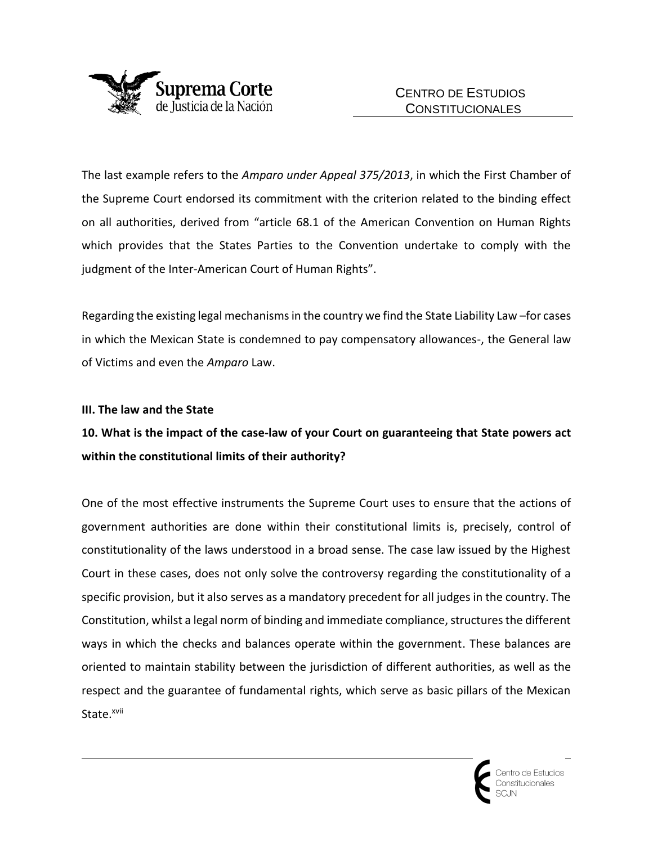

The last example refers to the *Amparo under Appeal 375/2013*, in which the First Chamber of the Supreme Court endorsed its commitment with the criterion related to the binding effect on all authorities, derived from "article 68.1 of the American Convention on Human Rights which provides that the States Parties to the Convention undertake to comply with the judgment of the Inter-American Court of Human Rights".

Regarding the existing legal mechanisms in the country we find the State Liability Law –for cases in which the Mexican State is condemned to pay compensatory allowances-, the General law of Victims and even the *Amparo* Law.

#### **III. The law and the State**

**10. What is the impact of the case-law of your Court on guaranteeing that State powers act within the constitutional limits of their authority?**

One of the most effective instruments the Supreme Court uses to ensure that the actions of government authorities are done within their constitutional limits is, precisely, control of constitutionality of the laws understood in a broad sense. The case law issued by the Highest Court in these cases, does not only solve the controversy regarding the constitutionality of a specific provision, but it also serves as a mandatory precedent for all judges in the country. The Constitution, whilst a legal norm of binding and immediate compliance, structures the different ways in which the checks and balances operate within the government. These balances are oriented to maintain stability between the jurisdiction of different authorities, as well as the respect and the guarantee of fundamental rights, which serve as basic pillars of the Mexican State.<sup>xvii</sup>

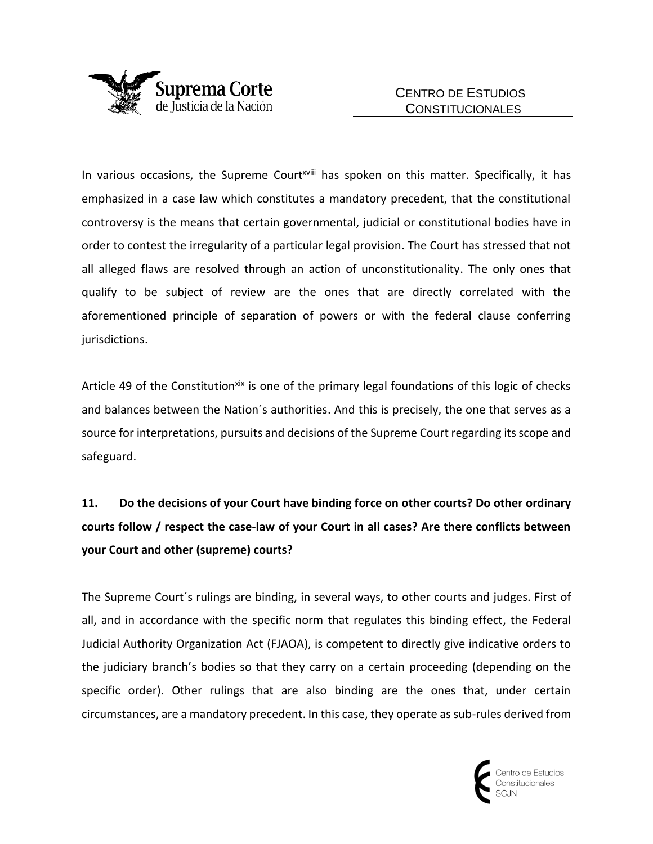

In various occasions, the Supreme Court<sup>xviii</sup> has spoken on this matter. Specifically, it has emphasized in a case law which constitutes a mandatory precedent, that the constitutional controversy is the means that certain governmental, judicial or constitutional bodies have in order to contest the irregularity of a particular legal provision. The Court has stressed that not all alleged flaws are resolved through an action of unconstitutionality. The only ones that qualify to be subject of review are the ones that are directly correlated with the aforementioned principle of separation of powers or with the federal clause conferring jurisdictions.

Article 49 of the Constitution<sup>xix</sup> is one of the primary legal foundations of this logic of checks and balances between the Nation´s authorities. And this is precisely, the one that serves as a source for interpretations, pursuits and decisions of the Supreme Court regarding its scope and safeguard.

## **11. Do the decisions of your Court have binding force on other courts? Do other ordinary courts follow / respect the case-law of your Court in all cases? Are there conflicts between your Court and other (supreme) courts?**

The Supreme Court´s rulings are binding, in several ways, to other courts and judges. First of all, and in accordance with the specific norm that regulates this binding effect, the Federal Judicial Authority Organization Act (FJAOA), is competent to directly give indicative orders to the judiciary branch's bodies so that they carry on a certain proceeding (depending on the specific order). Other rulings that are also binding are the ones that, under certain circumstances, are a mandatory precedent. In this case, they operate as sub-rules derived from

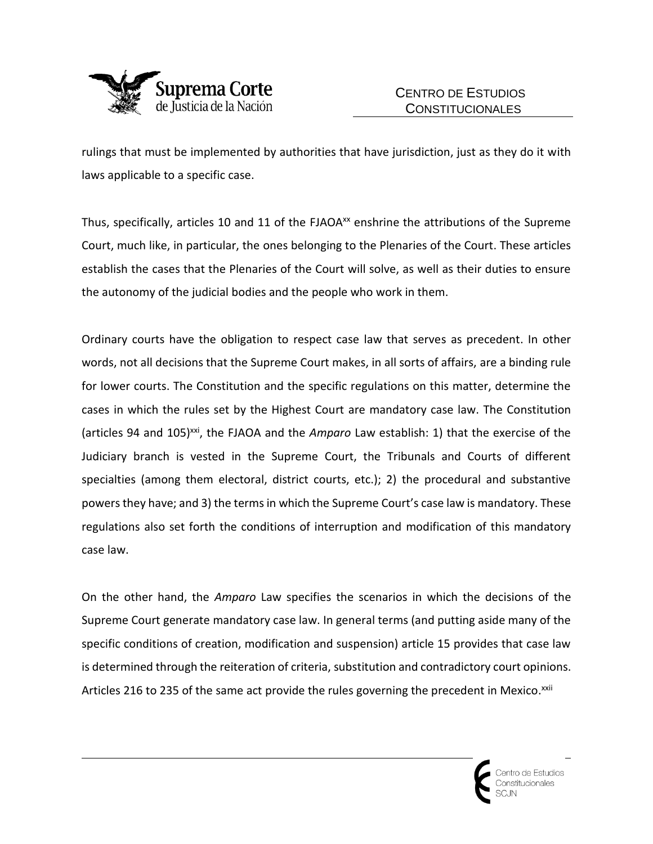

rulings that must be implemented by authorities that have jurisdiction, just as they do it with laws applicable to a specific case.

Thus, specifically, articles 10 and 11 of the FJAOA<sup>xx</sup> enshrine the attributions of the Supreme Court, much like, in particular, the ones belonging to the Plenaries of the Court. These articles establish the cases that the Plenaries of the Court will solve, as well as their duties to ensure the autonomy of the judicial bodies and the people who work in them.

Ordinary courts have the obligation to respect case law that serves as precedent. In other words, not all decisions that the Supreme Court makes, in all sorts of affairs, are a binding rule for lower courts. The Constitution and the specific regulations on this matter, determine the cases in which the rules set by the Highest Court are mandatory case law. The Constitution (articles 94 and 105)<sup>xxi</sup>, the FJAOA and the *Amparo* Law establish: 1) that the exercise of the Judiciary branch is vested in the Supreme Court, the Tribunals and Courts of different specialties (among them electoral, district courts, etc.); 2) the procedural and substantive powers they have; and 3) the terms in which the Supreme Court's case law is mandatory. These regulations also set forth the conditions of interruption and modification of this mandatory case law.

On the other hand, the *Amparo* Law specifies the scenarios in which the decisions of the Supreme Court generate mandatory case law. In general terms (and putting aside many of the specific conditions of creation, modification and suspension) article 15 provides that case law is determined through the reiteration of criteria, substitution and contradictory court opinions. Articles 216 to 235 of the same act provide the rules governing the precedent in Mexico.<sup>xxii</sup>

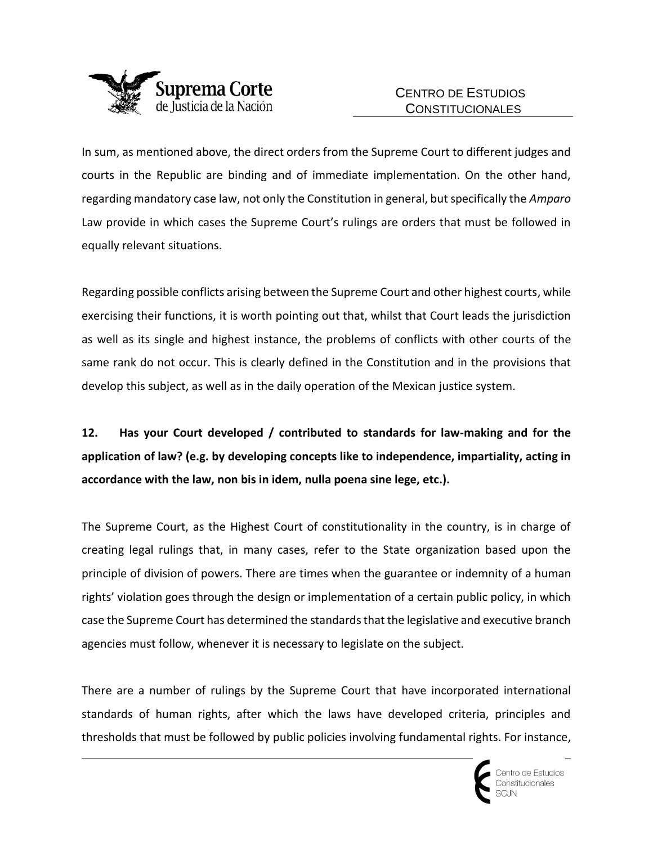

In sum, as mentioned above, the direct orders from the Supreme Court to different judges and courts in the Republic are binding and of immediate implementation. On the other hand, regarding mandatory case law, not only the Constitution in general, but specifically the *Amparo* Law provide in which cases the Supreme Court's rulings are orders that must be followed in equally relevant situations.

Regarding possible conflicts arising between the Supreme Court and other highest courts, while exercising their functions, it is worth pointing out that, whilst that Court leads the jurisdiction as well as its single and highest instance, the problems of conflicts with other courts of the same rank do not occur. This is clearly defined in the Constitution and in the provisions that develop this subject, as well as in the daily operation of the Mexican justice system.

**12. Has your Court developed / contributed to standards for law-making and for the application of law? (e.g. by developing concepts like to independence, impartiality, acting in accordance with the law, non bis in idem, nulla poena sine lege, etc.).**

The Supreme Court, as the Highest Court of constitutionality in the country, is in charge of creating legal rulings that, in many cases, refer to the State organization based upon the principle of division of powers. There are times when the guarantee or indemnity of a human rights' violation goes through the design or implementation of a certain public policy, in which case the Supreme Court has determined the standards that the legislative and executive branch agencies must follow, whenever it is necessary to legislate on the subject.

There are a number of rulings by the Supreme Court that have incorporated international standards of human rights, after which the laws have developed criteria, principles and thresholds that must be followed by public policies involving fundamental rights. For instance,

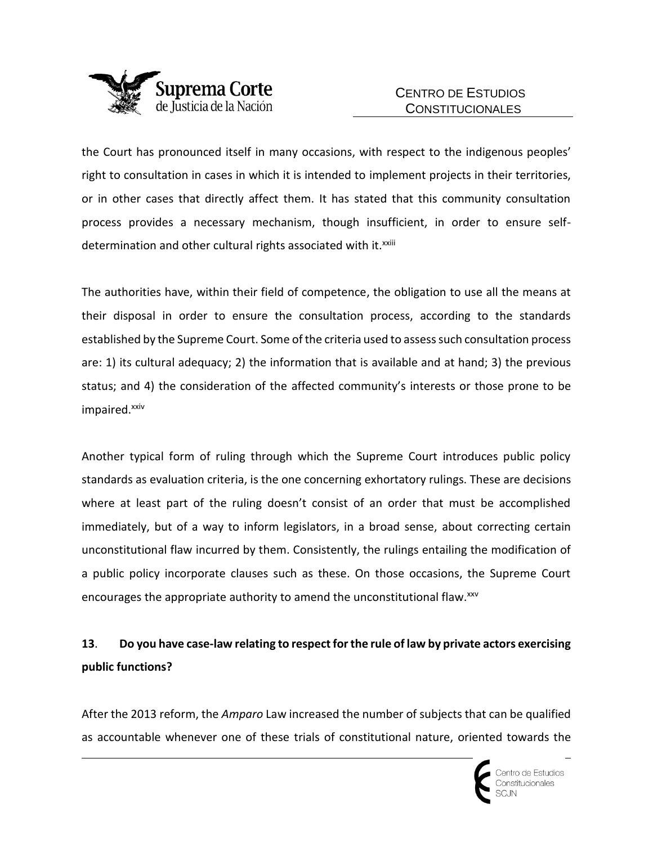

the Court has pronounced itself in many occasions, with respect to the indigenous peoples' right to consultation in cases in which it is intended to implement projects in their territories, or in other cases that directly affect them. It has stated that this community consultation process provides a necessary mechanism, though insufficient, in order to ensure selfdetermination and other cultural rights associated with it.<sup>xxiii</sup>

The authorities have, within their field of competence, the obligation to use all the means at their disposal in order to ensure the consultation process, according to the standards established by the Supreme Court. Some of the criteria used to assesssuch consultation process are: 1) its cultural adequacy; 2) the information that is available and at hand; 3) the previous status; and 4) the consideration of the affected community's interests or those prone to be impaired.<sup>xxiv</sup>

Another typical form of ruling through which the Supreme Court introduces public policy standards as evaluation criteria, is the one concerning exhortatory rulings. These are decisions where at least part of the ruling doesn't consist of an order that must be accomplished immediately, but of a way to inform legislators, in a broad sense, about correcting certain unconstitutional flaw incurred by them. Consistently, the rulings entailing the modification of a public policy incorporate clauses such as these. On those occasions, the Supreme Court encourages the appropriate authority to amend the unconstitutional flaw.xxv

### **13**. **Do you have case-law relating to respect for the rule of law by private actors exercising public functions?**

After the 2013 reform, the *Amparo* Law increased the number of subjects that can be qualified as accountable whenever one of these trials of constitutional nature, oriented towards the

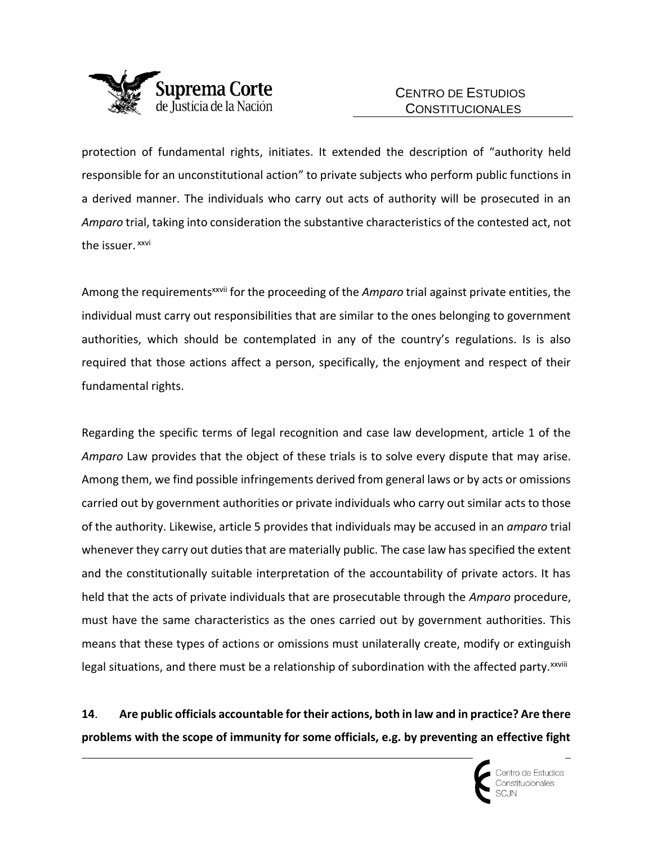

protection of fundamental rights, initiates. It extended the description of "authority held responsible for an unconstitutional action" to private subjects who perform public functions in a derived manner. The individuals who carry out acts of authority will be prosecuted in an *Amparo* trial, taking into consideration the substantive characteristics of the contested act, not the issuer. XXVI

Among the requirementsxxvii for the proceeding of the *Amparo* trial against private entities, the individual must carry out responsibilities that are similar to the ones belonging to government authorities, which should be contemplated in any of the country's regulations. Is is also required that those actions affect a person, specifically, the enjoyment and respect of their fundamental rights.

Regarding the specific terms of legal recognition and case law development, article 1 of the *Amparo* Law provides that the object of these trials is to solve every dispute that may arise. Among them, we find possible infringements derived from general laws or by acts or omissions carried out by government authorities or private individuals who carry out similar acts to those of the authority. Likewise, article 5 provides that individuals may be accused in an *amparo* trial whenever they carry out duties that are materially public. The case law has specified the extent and the constitutionally suitable interpretation of the accountability of private actors. It has held that the acts of private individuals that are prosecutable through the *Amparo* procedure, must have the same characteristics as the ones carried out by government authorities. This means that these types of actions or omissions must unilaterally create, modify or extinguish legal situations, and there must be a relationship of subordination with the affected party.<sup>xxviii</sup>

**14**. **Are public officials accountable for their actions, both in law and in practice? Are there problems with the scope of immunity for some officials, e.g. by preventing an effective fight** 

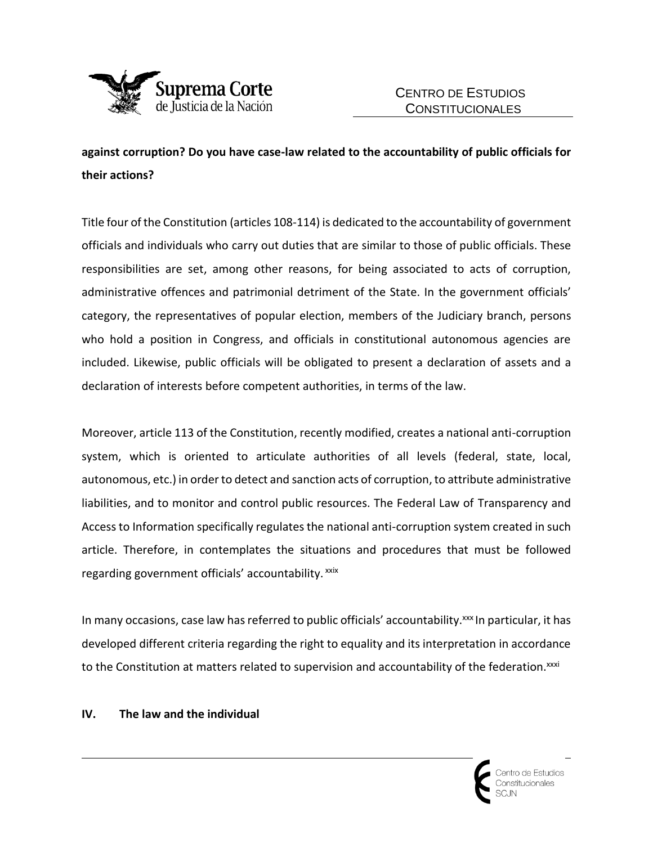

**against corruption? Do you have case-law related to the accountability of public officials for their actions?**

Title four of the Constitution (articles 108-114) is dedicated to the accountability of government officials and individuals who carry out duties that are similar to those of public officials. These responsibilities are set, among other reasons, for being associated to acts of corruption, administrative offences and patrimonial detriment of the State. In the government officials' category, the representatives of popular election, members of the Judiciary branch, persons who hold a position in Congress, and officials in constitutional autonomous agencies are included. Likewise, public officials will be obligated to present a declaration of assets and a declaration of interests before competent authorities, in terms of the law.

Moreover, article 113 of the Constitution, recently modified, creates a national anti-corruption system, which is oriented to articulate authorities of all levels (federal, state, local, autonomous, etc.) in order to detect and sanction acts of corruption, to attribute administrative liabilities, and to monitor and control public resources. The Federal Law of Transparency and Access to Information specifically regulates the national anti-corruption system created in such article. Therefore, in contemplates the situations and procedures that must be followed regarding government officials' accountability. <sup>xxix</sup>

In many occasions, case law has referred to public officials' accountability.<sup>xxx</sup> In particular, it has developed different criteria regarding the right to equality and its interpretation in accordance to the Constitution at matters related to supervision and accountability of the federation.<sup>xxxi</sup>

#### **IV. The law and the individual**

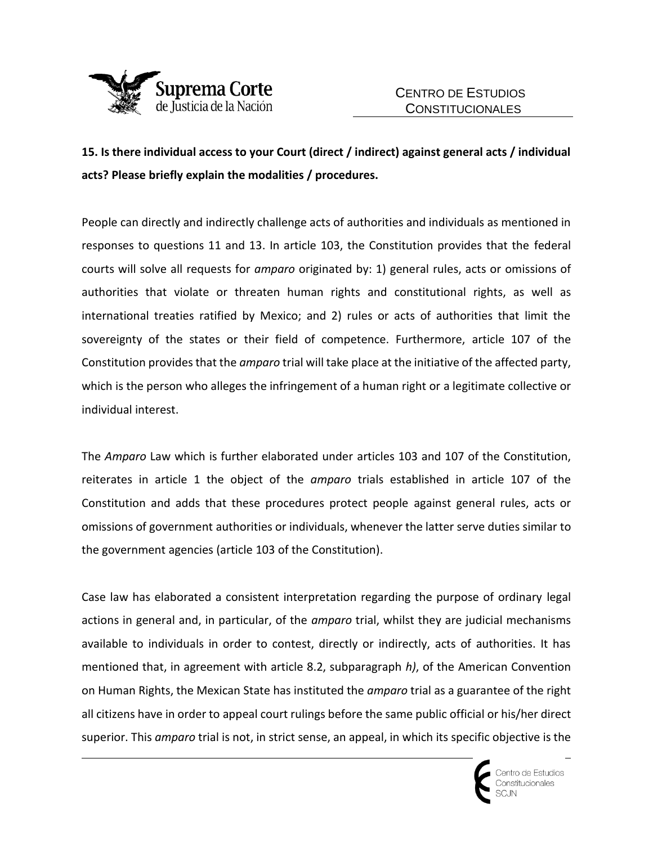

**15. Is there individual access to your Court (direct / indirect) against general acts / individual acts? Please briefly explain the modalities / procedures.**

People can directly and indirectly challenge acts of authorities and individuals as mentioned in responses to questions 11 and 13. In article 103, the Constitution provides that the federal courts will solve all requests for *amparo* originated by: 1) general rules, acts or omissions of authorities that violate or threaten human rights and constitutional rights, as well as international treaties ratified by Mexico; and 2) rules or acts of authorities that limit the sovereignty of the states or their field of competence. Furthermore, article 107 of the Constitution provides that the *amparo* trial will take place at the initiative of the affected party, which is the person who alleges the infringement of a human right or a legitimate collective or individual interest.

The *Amparo* Law which is further elaborated under articles 103 and 107 of the Constitution, reiterates in article 1 the object of the *amparo* trials established in article 107 of the Constitution and adds that these procedures protect people against general rules, acts or omissions of government authorities or individuals, whenever the latter serve duties similar to the government agencies (article 103 of the Constitution).

Case law has elaborated a consistent interpretation regarding the purpose of ordinary legal actions in general and, in particular, of the *amparo* trial, whilst they are judicial mechanisms available to individuals in order to contest, directly or indirectly, acts of authorities. It has mentioned that, in agreement with article 8.2, subparagraph *h)*, of the American Convention on Human Rights, the Mexican State has instituted the *amparo* trial as a guarantee of the right all citizens have in order to appeal court rulings before the same public official or his/her direct superior. This *amparo* trial is not, in strict sense, an appeal, in which its specific objective is the

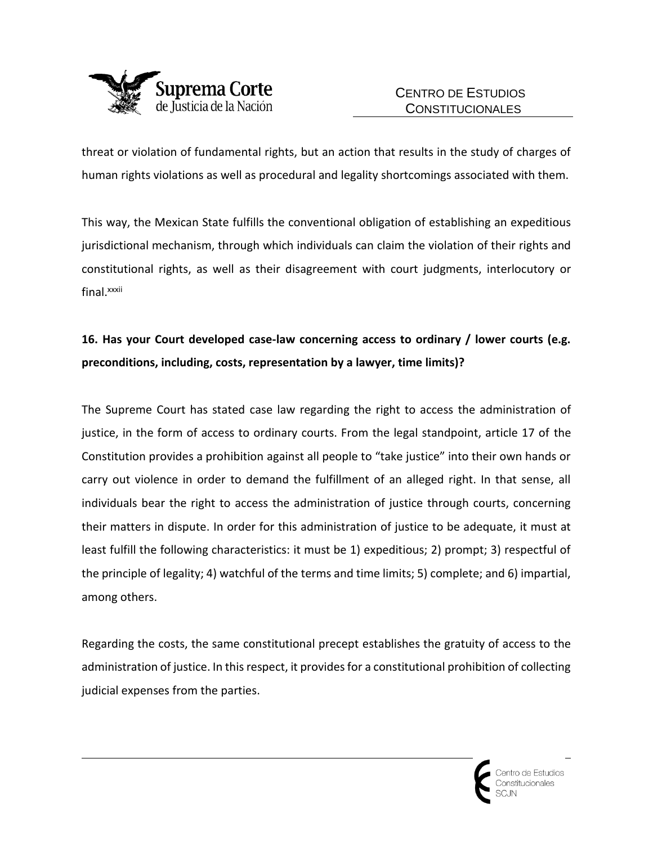

threat or violation of fundamental rights, but an action that results in the study of charges of human rights violations as well as procedural and legality shortcomings associated with them.

This way, the Mexican State fulfills the conventional obligation of establishing an expeditious jurisdictional mechanism, through which individuals can claim the violation of their rights and constitutional rights, as well as their disagreement with court judgments, interlocutory or final.<sup>xxxii</sup>

## **16. Has your Court developed case-law concerning access to ordinary / lower courts (e.g. preconditions, including, costs, representation by a lawyer, time limits)?**

The Supreme Court has stated case law regarding the right to access the administration of justice, in the form of access to ordinary courts. From the legal standpoint, article 17 of the Constitution provides a prohibition against all people to "take justice" into their own hands or carry out violence in order to demand the fulfillment of an alleged right. In that sense, all individuals bear the right to access the administration of justice through courts, concerning their matters in dispute. In order for this administration of justice to be adequate, it must at least fulfill the following characteristics: it must be 1) expeditious; 2) prompt; 3) respectful of the principle of legality; 4) watchful of the terms and time limits; 5) complete; and 6) impartial, among others.

Regarding the costs, the same constitutional precept establishes the gratuity of access to the administration of justice. In this respect, it provides for a constitutional prohibition of collecting judicial expenses from the parties.

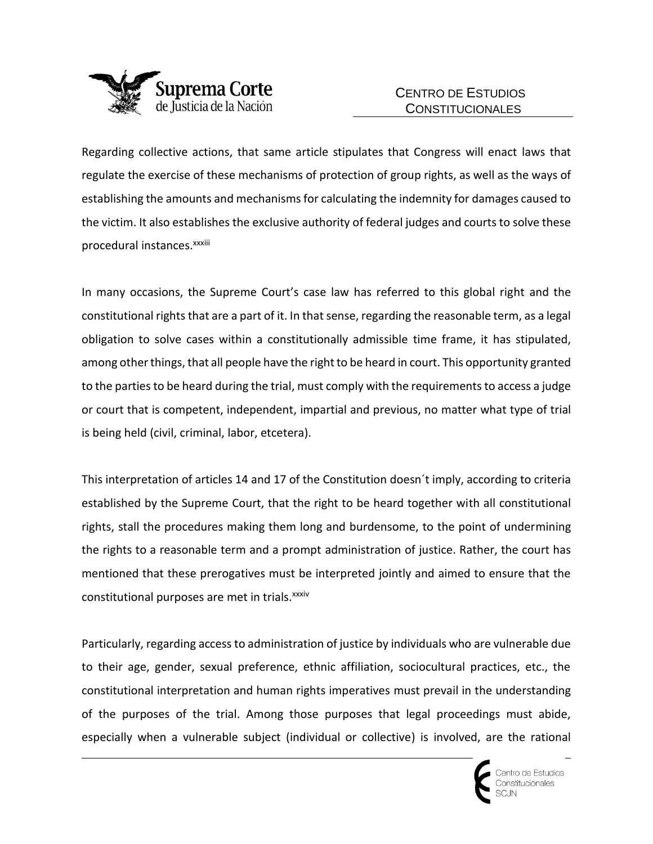

Regarding collective actions, that same article stipulates that Congress will enact laws that regulate the exercise of these mechanisms of protection of group rights, as well as the ways of establishing the amounts and mechanisms for calculating the indemnity for damages caused to the victim. It also establishes the exclusive authority of federal judges and courts to solve these procedural instances.<sup>xxxiii</sup>

In many occasions, the Supreme Court's case law has referred to this global right and the constitutional rights that are a part of it. In that sense, regarding the reasonable term, as a legal obligation to solve cases within a constitutionally admissible time frame, it has stipulated, among other things, that all people have the right to be heard in court. This opportunity granted to the parties to be heard during the trial, must comply with the requirements to access a judge or court that is competent, independent, impartial and previous, no matter what type of trial is being held (civil, criminal, labor, etcetera).

This interpretation of articles 14 and 17 of the Constitution doesn´t imply, according to criteria established by the Supreme Court, that the right to be heard together with all constitutional rights, stall the procedures making them long and burdensome, to the point of undermining the rights to a reasonable term and a prompt administration of justice. Rather, the court has mentioned that these prerogatives must be interpreted jointly and aimed to ensure that the constitutional purposes are met in trials.<sup>xxxiv</sup>

Particularly, regarding access to administration of justice by individuals who are vulnerable due to their age, gender, sexual preference, ethnic affiliation, sociocultural practices, etc., the constitutional interpretation and human rights imperatives must prevail in the understanding of the purposes of the trial. Among those purposes that legal proceedings must abide, especially when a vulnerable subject (individual or collective) is involved, are the rational

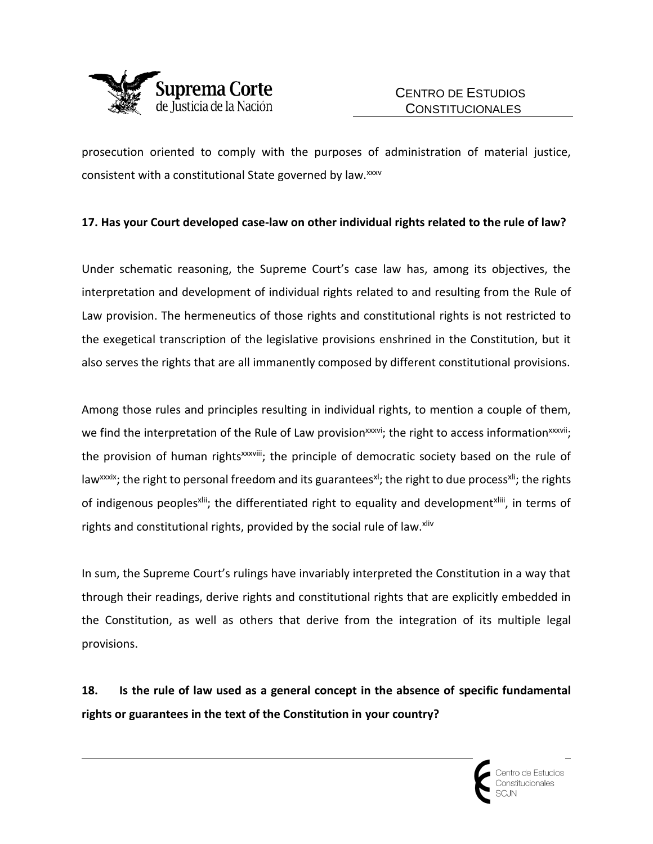

prosecution oriented to comply with the purposes of administration of material justice, consistent with a constitutional State governed by law.xxxv

#### **17. Has your Court developed case-law on other individual rights related to the rule of law?**

Under schematic reasoning, the Supreme Court's case law has, among its objectives, the interpretation and development of individual rights related to and resulting from the Rule of Law provision. The hermeneutics of those rights and constitutional rights is not restricted to the exegetical transcription of the legislative provisions enshrined in the Constitution, but it also serves the rights that are all immanently composed by different constitutional provisions.

Among those rules and principles resulting in individual rights, to mention a couple of them, we find the interpretation of the Rule of Law provision<sup>xxxvi</sup>; the right to access information<sup>xxxvii</sup>; the provision of human rights<sup>xxxviii</sup>; the principle of democratic society based on the rule of law<sup>xxxix</sup>; the right to personal freedom and its guarantees<sup>x1</sup>; the right to due process<sup>xii</sup>; the rights of indigenous peoples<sup>xlii</sup>; the differentiated right to equality and development<sup>xliii</sup>, in terms of rights and constitutional rights, provided by the social rule of law. Xilv

In sum, the Supreme Court's rulings have invariably interpreted the Constitution in a way that through their readings, derive rights and constitutional rights that are explicitly embedded in the Constitution, as well as others that derive from the integration of its multiple legal provisions.

**18. Is the rule of law used as a general concept in the absence of specific fundamental rights or guarantees in the text of the Constitution in your country?**

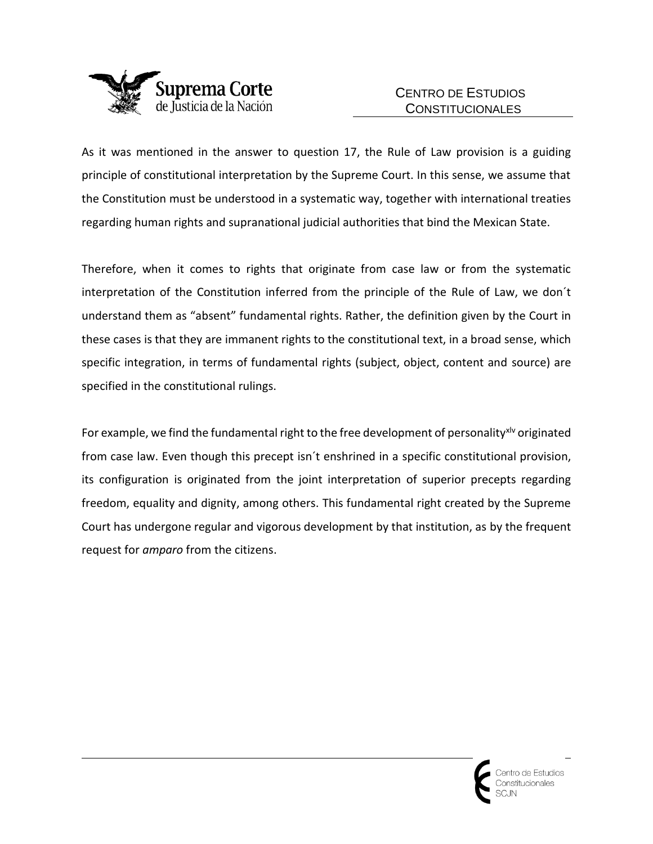

As it was mentioned in the answer to question 17, the Rule of Law provision is a guiding principle of constitutional interpretation by the Supreme Court. In this sense, we assume that the Constitution must be understood in a systematic way, together with international treaties regarding human rights and supranational judicial authorities that bind the Mexican State.

Therefore, when it comes to rights that originate from case law or from the systematic interpretation of the Constitution inferred from the principle of the Rule of Law, we don´t understand them as "absent" fundamental rights. Rather, the definition given by the Court in these cases is that they are immanent rights to the constitutional text, in a broad sense, which specific integration, in terms of fundamental rights (subject, object, content and source) are specified in the constitutional rulings.

For example, we find the fundamental right to the free development of personality<sup>xly</sup> originated from case law. Even though this precept isn´t enshrined in a specific constitutional provision, its configuration is originated from the joint interpretation of superior precepts regarding freedom, equality and dignity, among others. This fundamental right created by the Supreme Court has undergone regular and vigorous development by that institution, as by the frequent request for *amparo* from the citizens.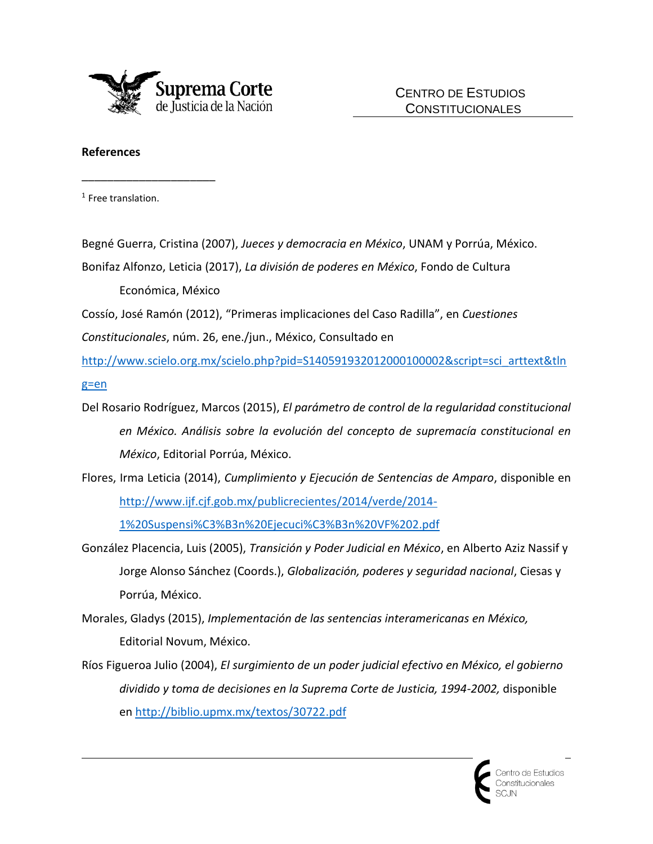

#### **References**

<sup>1</sup> Free translation.

\_\_\_\_\_\_\_\_\_\_\_\_\_\_\_\_\_\_\_\_\_

Begné Guerra, Cristina (2007), *Jueces y democracia en México*, UNAM y Porrúa, México.

- Bonifaz Alfonzo, Leticia (2017), *La división de poderes en México*, Fondo de Cultura Económica, México
- Cossío, José Ramón (2012), "Primeras implicaciones del Caso Radilla", en *Cuestiones*

*Constitucionales*, núm. 26, ene./jun., México, Consultado en

[http://www.scielo.org.mx/scielo.php?pid=S140591932012000100002&script=sci\\_arttext&tln](http://www.scielo.org.mx/scielo.php?pid=S140591932012000100002&script=sci_arttext&tlng=en) [g=en](http://www.scielo.org.mx/scielo.php?pid=S140591932012000100002&script=sci_arttext&tlng=en)

- Del Rosario Rodríguez, Marcos (2015), *El parámetro de control de la regularidad constitucional en México. Análisis sobre la evolución del concepto de supremacía constitucional en México*, Editorial Porrúa, México.
- Flores, Irma Leticia (2014), *Cumplimiento y Ejecución de Sentencias de Amparo*, disponible en [http://www.ijf.cjf.gob.mx/publicrecientes/2014/verde/2014-](http://www.ijf.cjf.gob.mx/publicrecientes/2014/verde/2014-1%20Suspensi%C3%B3n%20Ejecuci%C3%B3n%20VF%202.pdf) [1%20Suspensi%C3%B3n%20Ejecuci%C3%B3n%20VF%202.pdf](http://www.ijf.cjf.gob.mx/publicrecientes/2014/verde/2014-1%20Suspensi%C3%B3n%20Ejecuci%C3%B3n%20VF%202.pdf)

González Placencia, Luis (2005), *Transición y Poder Judicial en México*, en Alberto Aziz Nassif y Jorge Alonso Sánchez (Coords.), *Globalización, poderes y seguridad nacional*, Ciesas y

Porrúa, México.

- Morales, Gladys (2015), *Implementación de las sentencias interamericanas en México,* Editorial Novum, México.
- Ríos Figueroa Julio (2004), *El surgimiento de un poder judicial efectivo en México, el gobierno dividido y toma de decisiones en la Suprema Corte de Justicia, 1994-2002,* disponible en<http://biblio.upmx.mx/textos/30722.pdf>

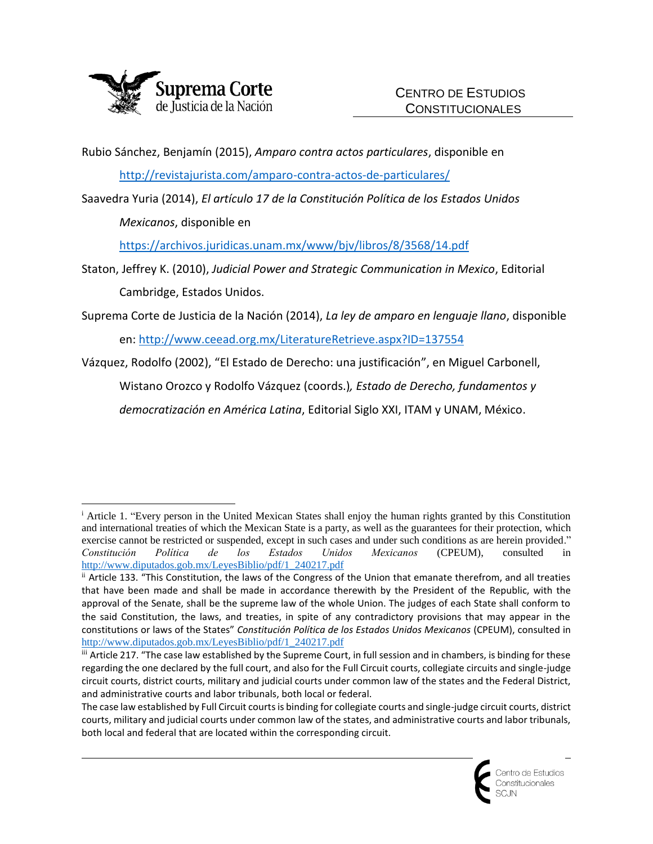

Rubio Sánchez, Benjamín (2015), *Amparo contra actos particulares*, disponible en

<http://revistajurista.com/amparo-contra-actos-de-particulares/>

Saavedra Yuria (2014), *El artículo 17 de la Constitución Política de los Estados Unidos Mexicanos*, disponible en

<https://archivos.juridicas.unam.mx/www/bjv/libros/8/3568/14.pdf>

Staton, Jeffrey K. (2010), *Judicial Power and Strategic Communication in Mexico*, Editorial Cambridge, Estados Unidos.

Suprema Corte de Justicia de la Nación (2014), *La ley de amparo en lenguaje llano*, disponible en:<http://www.ceead.org.mx/LiteratureRetrieve.aspx?ID=137554>

Vázquez, Rodolfo (2002), "El Estado de Derecho: una justificación", en Miguel Carbonell,

Wistano Orozco y Rodolfo Vázquez (coords.)*, Estado de Derecho, fundamentos y* 

*democratización en América Latina*, Editorial Siglo XXI, ITAM y UNAM, México.

The case law established by Full Circuit courts is binding for collegiate courts and single-judge circuit courts, district courts, military and judicial courts under common law of the states, and administrative courts and labor tribunals, both local and federal that are located within the corresponding circuit.



<sup>&</sup>lt;sup>i</sup> Article 1. "Every person in the United Mexican States shall enjoy the human rights granted by this Constitution and international treaties of which the Mexican State is a party, as well as the guarantees for their protection, which exercise cannot be restricted or suspended, except in such cases and under such conditions as are herein provided." *Constitución Política de los Estados Unidos Mexicanos* (CPEUM), consulted in [http://www.diputados.gob.mx/LeyesBiblio/pdf/1\\_240217.pdf](http://www.diputados.gob.mx/LeyesBiblio/pdf/1_240217.pdf)  $\overline{\phantom{a}}$ 

ii Article 133. "This Constitution, the laws of the Congress of the Union that emanate therefrom, and all treaties that have been made and shall be made in accordance therewith by the President of the Republic, with the approval of the Senate, shall be the supreme law of the whole Union. The judges of each State shall conform to the said Constitution, the laws, and treaties, in spite of any contradictory provisions that may appear in the constitutions or laws of the States" *Constitución Política de los Estados Unidos Mexicanos* (CPEUM), consulted in [http://www.diputados.gob.mx/LeyesBiblio/pdf/1\\_240217.pdf](http://www.diputados.gob.mx/LeyesBiblio/pdf/1_240217.pdf)

iii Article 217. "The case law established by the Supreme Court, in full session and in chambers, is binding for these regarding the one declared by the full court, and also for the Full Circuit courts, collegiate circuits and single-judge circuit courts, district courts, military and judicial courts under common law of the states and the Federal District, and administrative courts and labor tribunals, both local or federal.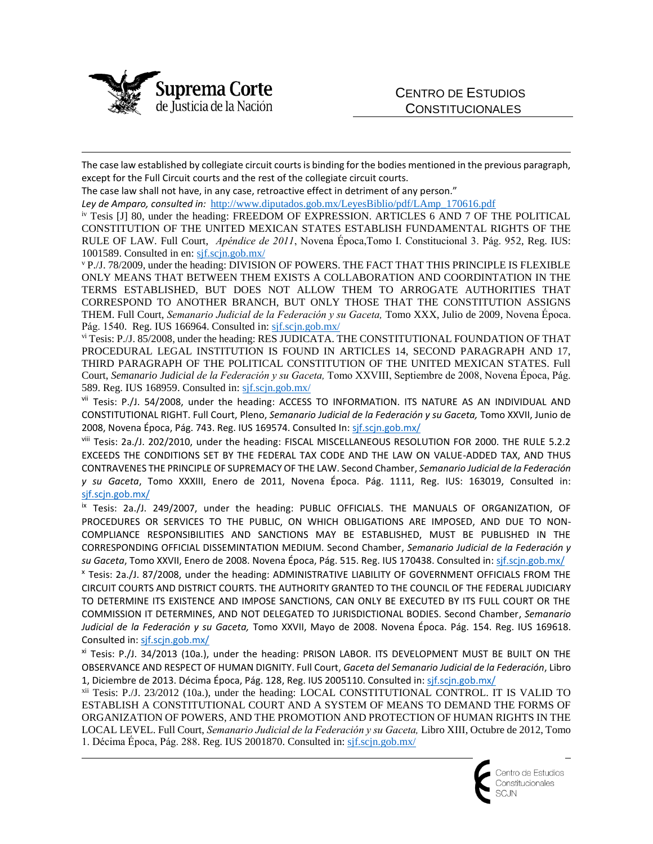

 $\overline{\phantom{a}}$ 

The case law established by collegiate circuit courts is binding for the bodies mentioned in the previous paragraph, except for the Full Circuit courts and the rest of the collegiate circuit courts.

The case law shall not have, in any case, retroactive effect in detriment of any person."

*Ley de Amparo, consulted in:* [http://www.diputados.gob.mx/LeyesBiblio/pdf/LAmp\\_170616.pdf](http://www.diputados.gob.mx/LeyesBiblio/pdf/LAmp_170616.pdf)

iv Tesis [J] 80, under the heading: FREEDOM OF EXPRESSION. ARTICLES 6 AND 7 OF THE POLITICAL CONSTITUTION OF THE UNITED MEXICAN STATES ESTABLISH FUNDAMENTAL RIGHTS OF THE RULE OF LAW. Full Court, *Apéndice de 2011*, Novena Época,Tomo I. Constitucional 3. Pág. 952, Reg. IUS: 1001589. Consulted in en: sjf.scjn.gob.mx/

<sup>v</sup> P./J. 78/2009, under the heading: DIVISION OF POWERS. THE FACT THAT THIS PRINCIPLE IS FLEXIBLE ONLY MEANS THAT BETWEEN THEM EXISTS A COLLABORATION AND COORDINTATION IN THE TERMS ESTABLISHED, BUT DOES NOT ALLOW THEM TO ARROGATE AUTHORITIES THAT CORRESPOND TO ANOTHER BRANCH, BUT ONLY THOSE THAT THE CONSTITUTION ASSIGNS THEM. Full Court, *Semanario Judicial de la Federación y su Gaceta,* Tomo XXX, Julio de 2009*,* Novena Época. Pág. 1540. Reg. IUS 166964. Consulted in: sjf.scjn.gob.mx/

vi Tesis: P./J. 85/2008, under the heading: RES JUDICATA. THE CONSTITUTIONAL FOUNDATION OF THAT PROCEDURAL LEGAL INSTITUTION IS FOUND IN ARTICLES 14, SECOND PARAGRAPH AND 17, THIRD PARAGRAPH OF THE POLITICAL CONSTITUTION OF THE UNITED MEXICAN STATES. Full Court, *Semanario Judicial de la Federación y su Gaceta,* Tomo XXVIII, Septiembre de 2008, Novena Época, Pág. 589. Reg. IUS 168959. Consulted in: sjf.scjn.gob.mx/

<sup>Vii</sup> Tesis: P./J. 54/2008, under the heading: ACCESS TO INFORMATION. ITS NATURE AS AN INDIVIDUAL AND CONSTITUTIONAL RIGHT. Full Court, Pleno, *Semanario Judicial de la Federación y su Gaceta,* Tomo XXVII, Junio de 2008, Novena Época, Pág. 743. Reg. IUS 169574. Consulted In: sif.scin.gob.mx/

viii Tesis: 2a./J. 202/2010, under the heading: FISCAL MISCELLANEOUS RESOLUTION FOR 2000. THE RULE 5.2.2 EXCEEDS THE CONDITIONS SET BY THE FEDERAL TAX CODE AND THE LAW ON VALUE-ADDED TAX, AND THUS CONTRAVENES THE PRINCIPLE OF SUPREMACY OF THE LAW. Second Chamber, *Semanario Judicial de la Federación y su Gaceta*, Tomo XXXIII, Enero de 2011, Novena Época. Pág. 1111, Reg. IUS: 163019, Consulted in: sjf.scjn.gob.mx/

<sup>ix</sup> Tesis: 2a./J. 249/2007, under the heading: PUBLIC OFFICIALS. THE MANUALS OF ORGANIZATION, OF PROCEDURES OR SERVICES TO THE PUBLIC, ON WHICH OBLIGATIONS ARE IMPOSED, AND DUE TO NON-COMPLIANCE RESPONSIBILITIES AND SANCTIONS MAY BE ESTABLISHED, MUST BE PUBLISHED IN THE CORRESPONDING OFFICIAL DISSEMINTATION MEDIUM. Second Chamber, *Semanario Judicial de la Federación y su Gaceta*, Tomo XXVII, Enero de 2008. Novena Época, Pág. 515. Reg. IUS 170438. Consulted in: sjf.scjn.gob.mx/

x Tesis: 2a./J. 87/2008, under the heading: ADMINISTRATIVE LIABILITY OF GOVERNMENT OFFICIALS FROM THE CIRCUIT COURTS AND DISTRICT COURTS. THE AUTHORITY GRANTED TO THE COUNCIL OF THE FEDERAL JUDICIARY TO DETERMINE ITS EXISTENCE AND IMPOSE SANCTIONS, CAN ONLY BE EXECUTED BY ITS FULL COURT OR THE COMMISSION IT DETERMINES, AND NOT DELEGATED TO JURISDICTIONAL BODIES. Second Chamber, *Semanario Judicial de la Federación y su Gaceta,* Tomo XXVII, Mayo de 2008. Novena Época. Pág. 154. Reg. IUS 169618. Consulted in: sjf.scjn.gob.mx/

xi Tesis: P./J. 34/2013 (10a.), under the heading: PRISON LABOR. ITS DEVELOPMENT MUST BE BUILT ON THE OBSERVANCE AND RESPECT OF HUMAN DIGNITY. Full Court, *Gaceta del Semanario Judicial de la Federación*, Libro 1, Diciembre de 2013. Décima Época, Pág. 128, Reg. IUS 2005110. Consulted in: sjf.scjn.gob.mx/

xii Tesis: P./J. 23/2012 (10a.), under the heading: LOCAL CONSTITUTIONAL CONTROL. IT IS VALID TO ESTABLISH A CONSTITUTIONAL COURT AND A SYSTEM OF MEANS TO DEMAND THE FORMS OF ORGANIZATION OF POWERS, AND THE PROMOTION AND PROTECTION OF HUMAN RIGHTS IN THE LOCAL LEVEL. Full Court, *Semanario Judicial de la Federación y su Gaceta,* Libro XIII, Octubre de 2012, Tomo 1. Décima Época, Pág. 288. Reg. IUS 2001870. Consulted in: sjf.scjn.gob.mx/

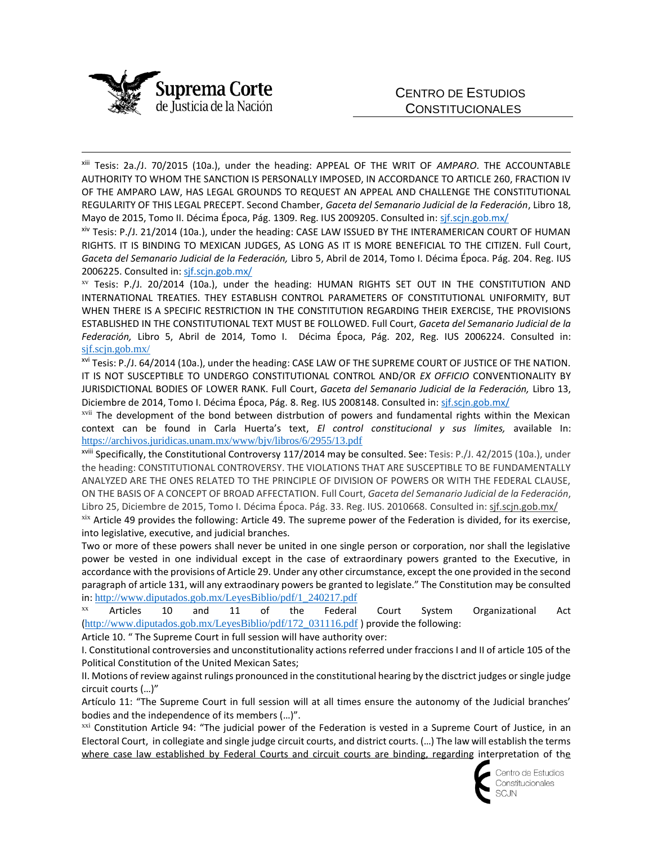

 $\overline{\phantom{a}}$ 

xiii Tesis: 2a./J. 70/2015 (10a.), under the heading: APPEAL OF THE WRIT OF *AMPARO*. THE ACCOUNTABLE AUTHORITY TO WHOM THE SANCTION IS PERSONALLY IMPOSED, IN ACCORDANCE TO ARTICLE 260, FRACTION IV OF THE AMPARO LAW, HAS LEGAL GROUNDS TO REQUEST AN APPEAL AND CHALLENGE THE CONSTITUTIONAL REGULARITY OF THIS LEGAL PRECEPT. Second Chamber, *Gaceta del Semanario Judicial de la Federación*, Libro 18, Mayo de 2015, Tomo II. Décima Época, Pág. 1309. Reg. IUS 2009205. Consulted in: sif.scjn.gob.mx/

xiv Tesis: P./J. 21/2014 (10a.), under the heading: CASE LAW ISSUED BY THE INTERAMERICAN COURT OF HUMAN RIGHTS. IT IS BINDING TO MEXICAN JUDGES, AS LONG AS IT IS MORE BENEFICIAL TO THE CITIZEN. Full Court, *Gaceta del Semanario Judicial de la Federación,* Libro 5, Abril de 2014, Tomo I. Décima Época. Pág. 204. Reg. IUS 2006225. Consulted in: sjf.scjn.gob.mx/

xv Tesis: P./J. 20/2014 (10a.), under the heading: HUMAN RIGHTS SET OUT IN THE CONSTITUTION AND INTERNATIONAL TREATIES. THEY ESTABLISH CONTROL PARAMETERS OF CONSTITUTIONAL UNIFORMITY, BUT WHEN THERE IS A SPECIFIC RESTRICTION IN THE CONSTITUTION REGARDING THEIR EXERCISE, THE PROVISIONS ESTABLISHED IN THE CONSTITUTIONAL TEXT MUST BE FOLLOWED. Full Court, *Gaceta del Semanario Judicial de la Federación,* Libro 5, Abril de 2014, Tomo I. Décima Época, Pág. 202, Reg. IUS 2006224. Consulted in: sjf.scjn.gob.mx/

xvi Tesis: P./J. 64/2014 (10a.), under the heading: CASE LAW OF THE SUPREME COURT OF JUSTICE OF THE NATION. IT IS NOT SUSCEPTIBLE TO UNDERGO CONSTITUTIONAL CONTROL AND/OR *EX OFFICIO* CONVENTIONALITY BY JURISDICTIONAL BODIES OF LOWER RANK. Full Court, *Gaceta del Semanario Judicial de la Federación,* Libro 13, Diciembre de 2014, Tomo I. Décima Época, Pág. 8. Reg. IUS 2008148. Consulted in: sjf.scjn.gob.mx/

xvii The development of the bond between distrbution of powers and fundamental rights within the Mexican context can be found in Carla Huerta's text, *El control constitucional y sus límites,* available In: <https://archivos.juridicas.unam.mx/www/bjv/libros/6/2955/13.pdf>

xviii Specifically, the Constitutional Controversy 117/2014 may be consulted. See: Tesis: P./J. 42/2015 (10a.), under the heading: CONSTITUTIONAL CONTROVERSY. THE VIOLATIONS THAT ARE SUSCEPTIBLE TO BE FUNDAMENTALLY ANALYZED ARE THE ONES RELATED TO THE PRINCIPLE OF DIVISION OF POWERS OR WITH THE FEDERAL CLAUSE, ON THE BASIS OF A CONCEPT OF BROAD AFFECTATION. Full Court, *Gaceta del Semanario Judicial de la Federación*, Libro 25, Diciembre de 2015, Tomo I. Décima Época. Pág. 33. Reg. IUS. 2010668. Consulted in: sjf.scjn.gob.mx/

 $x$ <sup>xix</sup> Article 49 provides the following: Article 49. The supreme power of the Federation is divided, for its exercise, into legislative, executive, and judicial branches.

Two or more of these powers shall never be united in one single person or corporation, nor shall the legislative power be vested in one individual except in the case of extraordinary powers granted to the Executive, in accordance with the provisions of Article 29. Under any other circumstance, except the one provided in the second paragraph of article 131, will any extraodinary powers be granted to legislate." The Constitution may be consulted in: [http://www.diputados.gob.mx/LeyesBiblio/pdf/1\\_240217.pdf](http://www.diputados.gob.mx/LeyesBiblio/pdf/1_240217.pdf)

xx Articles 10 and 11 of the Federal Court System Organizational Act ([http://www.diputados.gob.mx/LeyesBiblio/pdf/172\\_031116.pdf](http://www.diputados.gob.mx/LeyesBiblio/pdf/172_031116.pdf) ) provide the following:

Article 10. " The Supreme Court in full session will have authority over:

I. Constitutional controversies and unconstitutionality actions referred under fraccions I and II of article 105 of the Political Constitution of the United Mexican Sates;

II. Motions of review against rulings pronounced in the constitutional hearing by the disctrict judges or single judge circuit courts (…)"

Artículo 11: "The Supreme Court in full session will at all times ensure the autonomy of the Judicial branches' bodies and the independence of its members (…)".

xxi Constitution Article 94: "The judicial power of the Federation is vested in a Supreme Court of Justice, in an Electoral Court, in collegiate and single judge circuit courts, and district courts. (…) The law will establish the terms where case law established by Federal Courts and circuit courts are binding, regarding interpretation of the

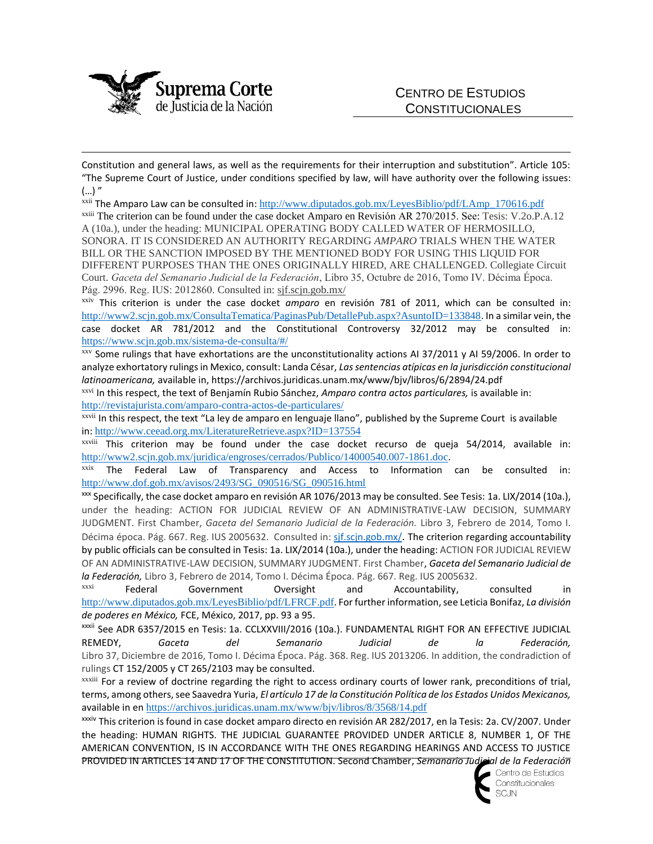

 $\overline{\phantom{a}}$ 

Constitution and general laws, as well as the requirements for their interruption and substitution". Article 105: "The Supreme Court of Justice, under conditions specified by law, will have authority over the following issues:  $(...)'$ 

xxii The Amparo Law can be consulted in: [http://www.diputados.gob.mx/LeyesBiblio/pdf/LAmp\\_170616.pdf](http://www.diputados.gob.mx/LeyesBiblio/pdf/LAmp_170616.pdf) xxiii The criterion can be found under the case docket Amparo en Revisión AR 270/2015. See: Tesis: V.2o.P.A.12 A (10a.), under the heading: MUNICIPAL OPERATING BODY CALLED WATER OF HERMOSILLO, SONORA. IT IS CONSIDERED AN AUTHORITY REGARDING *AMPARO* TRIALS WHEN THE WATER BILL OR THE SANCTION IMPOSED BY THE MENTIONED BODY FOR USING THIS LIQUID FOR DIFFERENT PURPOSES THAN THE ONES ORIGINALLY HIRED, ARE CHALLENGED. Collegiate Circuit Court. *Gaceta del Semanario Judicial de la Federación*, Libro 35, Octubre de 2016, Tomo IV. Décima Época. Pág. 2996. Reg. IUS: 2012860. Consulted in: sjf.scjn.gob.mx/

xxiv This criterion is under the case docket *amparo* en revisión 781 of 2011, which can be consulted in: <http://www2.scjn.gob.mx/ConsultaTematica/PaginasPub/DetallePub.aspx?AsuntoID=133848>. In a similar vein, the case docket AR 781/2012 and the Constitutional Controversy 32/2012 may be consulted in: <https://www.scjn.gob.mx/sistema-de-consulta/#/>

xxv Some rulings that have exhortations are the unconstitutionality actions AI 37/2011 y AI 59/2006. In order to analyze exhortatory rulings in Mexico, consult: Landa César, *Las sentencias atípicas en la jurisdicción constitucional latinoamericana,* available in, https://archivos.juridicas.unam.mx/www/bjv/libros/6/2894/24.pdf

xxvi In this respect, the text of Benjamín Rubio Sánchez, *Amparo contra actos particulares,* is available in: <http://revistajurista.com/amparo-contra-actos-de-particulares/>

xxvii In this respect, the text "La ley de amparo en lenguaje llano", published by the Supreme Court is available in: <http://www.ceead.org.mx/LiteratureRetrieve.aspx?ID=137554>

xxviii This criterion may be found under the case docket recurso de queja 54/2014, available in: <http://www2.scjn.gob.mx/juridica/engroses/cerrados/Publico/14000540.007-1861.doc>.

 $x$ xxix The Federal Law of Transparency and Access to Information can be consulted in: [http://www.dof.gob.mx/avisos/2493/SG\\_090516/SG\\_090516.html](http://www.dof.gob.mx/avisos/2493/SG_090516/SG_090516.html)

xxx Specifically, the case docket amparo en revisión AR 1076/2013 may be consulted. See Tesis: 1a. LIX/2014 (10a.), under the heading: ACTION FOR JUDICIAL REVIEW OF AN ADMINISTRATIVE-LAW DECISION, SUMMARY JUDGMENT. First Chamber, *Gaceta del Semanario Judicial de la Federación.* Libro 3, Febrero de 2014, Tomo I. Décima época. Pág. 667. Reg. IUS 2005632. Consulted in: sjf.scjn.gob.mx/. The criterion regarding accountability by public officials can be consulted in Tesis: 1a. LIX/2014 (10a.), under the heading: ACTION FOR JUDICIAL REVIEW OF AN ADMINISTRATIVE-LAW DECISION, SUMMARY JUDGMENT. First Chamber, *Gaceta del Semanario Judicial de la Federación,* Libro 3, Febrero de 2014, Tomo I. Décima Época. Pág. 667. Reg. IUS 2005632.

xxxi Federal Government Oversight and Accountability, consulted in <http://www.diputados.gob.mx/LeyesBiblio/pdf/LFRCF.pdf>. For further information, see Leticia Bonifaz, *La división de poderes en México,* FCE, México, 2017, pp. 93 a 95.

xxxii See ADR 6357/2015 en Tesis: 1a. CCLXXVIII/2016 (10a.). FUNDAMENTAL RIGHT FOR AN EFFECTIVE JUDICIAL REMEDY, *Gaceta del Semanario Judicial de la Federación,*  Libro 37, Diciembre de 2016, Tomo I. Décima Época. Pág. 368. Reg. IUS 2013206. In addition, the condradiction of rulings CT 152/2005 y CT 265/2103 may be consulted.

xxxiii For a review of doctrine regarding the right to access ordinary courts of lower rank, preconditions of trial, terms, among others, see Saavedra Yuria, *El artículo 17 de la Constitución Política de los Estados Unidos Mexicanos,*  available in en <https://archivos.juridicas.unam.mx/www/bjv/libros/8/3568/14.pdf>

xxxiv This criterion is found in case docket amparo directo en revisión AR 282/2017, en la Tesis: 2a. CV/2007. Under the heading: HUMAN RIGHTS. THE JUDICIAL GUARANTEE PROVIDED UNDER ARTICLE 8, NUMBER 1, OF THE AMERICAN CONVENTION, IS IN ACCORDANCE WITH THE ONES REGARDING HEARINGS AND ACCESS TO JUSTICE PROVIDED IN ARTICLES 14 AND 17 OF THE CONSTITUTION. Second Chamber, *Semanario Judicial de la Federación* 



Constitucionales **SCJN**